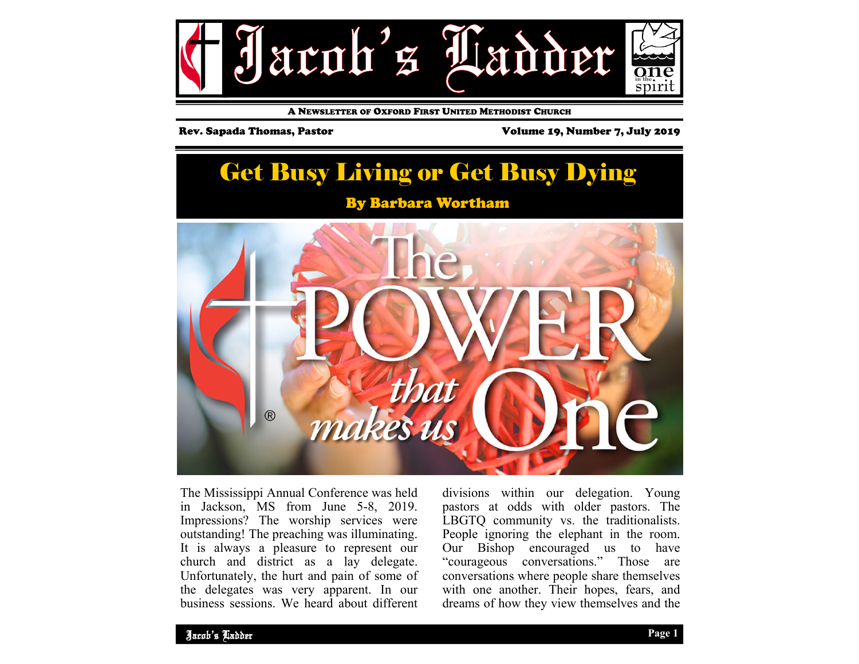

A NEWSLETTER OF OXFORD FIRST UNITED METHODIST CHURCH

Rev. Sapada Thomas, Pastor Volume 19, Number 7, July 2019



The Mississippi Annual Conference was held in Jackson, MS from June 5-8, 2019. Impressions? The worship services were outstanding! The preaching was illuminating. It is always a pleasure to represent our church and district as a lay delegate. Unfortunately, the hurt and pain of some of the delegates was very apparent. In our business sessions. We heard about different divisions within our delegation. Young pastors at odds with older pastors. The LBGTQ community vs. the traditionalists. People ignoring the elephant in the room. Our Bishop encouraged us to have "courageous conversations." Those are conversations where people share themselves with one another. Their hopes, fears, and dreams of how they view themselves and the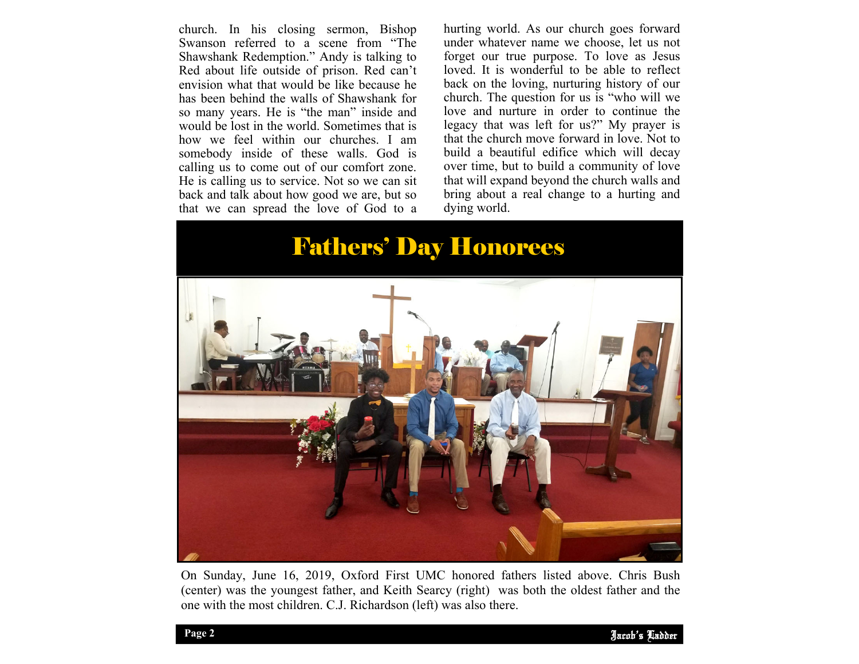church. In his closing sermon, Bishop Swanson referred to a scene from "The Shawshank Redemption." Andy is talking to Red about life outside of prison. Red can't envision what that would be like because he has been behind the walls of Shawshank for so many years. He is "the man" inside and would be lost in the world. Sometimes that is how we feel within our churches. I am somebody inside of these walls. God is calling us to come out of our comfort zone. He is calling us to service. Not so we can sit back and talk about how good we are, but so that we can spread the love of God to a

hurting world. As our church goes forward under whatever name we choose, let us not forget our true purpose. To love as Jesus loved. It is wonderful to be able to reflect back on the loving, nurturing history of our church. The question for us is "who will we love and nurture in order to continue the legacy that was left for us?" My prayer is that the church move forward in love. Not to build a beautiful edifice which will decay over time, but to build a community of love that will expand beyond the church walls and bring about a real change to a hurting and dying world.

# Fathers' Day Honorees



On Sunday, June 16, 2019, Oxford First UMC honored fathers listed above. Chris Bush (center) was the youngest father, and Keith Searcy (right) was both the oldest father and the one with the most children. C.J. Richardson (left) was also there.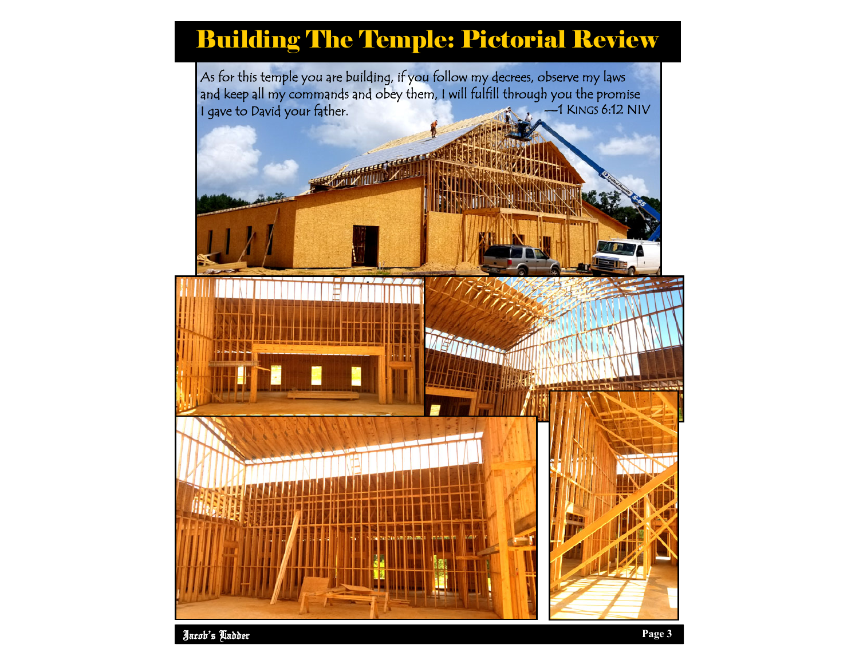# Building The Temple: Pictorial Review

As for this temple you are building, if you follow my decrees, observe my laws and keep all my commands and obey them, I will fulfill through you the promise<br>I gave to David your father. I gave to David your father.

**CONTRACTOR** 

**RAILWILLIA**